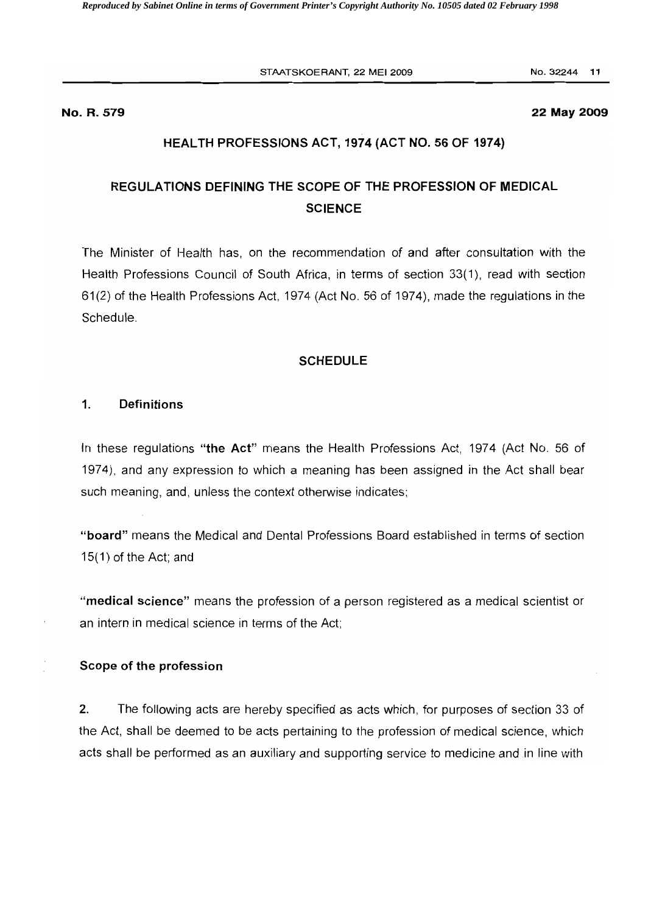STAATSKOERANT, 22 MEI 2009 No. 32244 11

#### No. R. 579 22 May 2009

#### HEALTH PROFESSIONS ACT, 1974 (ACT NO. 56 OF 1974)

# REGULATIONS DEFINING THE SCOPE OF THE PROFESSION OF MEDICAL **SCIENCE**

The Minister of Health has, on the recommendation of and after consultation with the Health Professions Council of South Africa, in terms of section 33(1), read with section 61(2) of the Health Professions Act, 1974 (Act No. 56 of 1974), made the regulations in the Schedule.

### **SCHEDULE**

#### 1. Definitions

In these regulations "the Act" means the Health Professions Act, 1974 (Act No. 56 of 1974), and any expression to which a meaning has been assigned in the Act shall bear such meaning, and, unless the context otherwise indicates;

"board" means the Medical and Dental Professions Board established in terms of section 15(1) of the Act; and

"medical science" means the profession of a person registered as a medical scientist or an intern in medical science in terms of the Act;

#### Scope of the profession

2. The following acts are hereby specified as acts which, for purposes of section 33 of the Act, shall be deemed to be acts pertaining to the profession of medical science, which acts shall be performed as an auxiliary and supporting service to medicine and in line with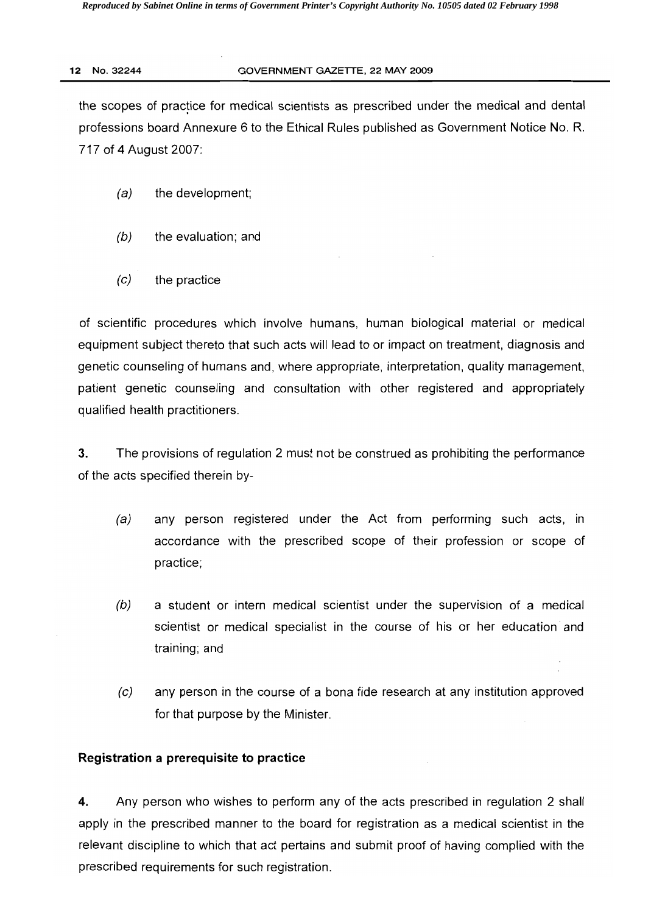### 12 NO.32244 GOVERNMENT GAZETTE, 22 MAY 2009

the scopes of practice for medical scientists as prescribed under the medical and dental professions board Annexure 6 to the Ethical Rules published as Government Notice No. R. 717 of 4 August 2007:

- $(a)$  the development;
- $(b)$  the evaluation; and
- $(c)$  the practice

of scientific procedures which involve humans, human biological material or medical equipment subject thereto that such acts will lead to or impact on treatment, diagnosis and genetic counseling of humans and, where appropriate, interpretation, quality management, patient genetic counseling and consultation with other registered and appropriately qualified health practitioners.

3. The provisions of regulation 2 must not be construed as prohibiting the performance of the acts specified therein by

- (a) any person registered under the Act from performing such acts, in accordance with the prescribed scope of their profession or scope of practice;
- $(b)$  a student or intern medical scientist under the supervision of a medical scientist or medical specialist in the course of his or her education' and training; and
- (e) any person in the course of a bona fide research at any institution approved for that purpose by the Minister.

# **Registration a prerequisite to practice**

4. Any person who wishes to perform any of the acts prescribed in regulation 2 shall apply in the prescribed manner to the board for registration as a medical scientist in the relevant discipline to which that act pertains and submit proof of having complied with the prescribed requirements for such registration.